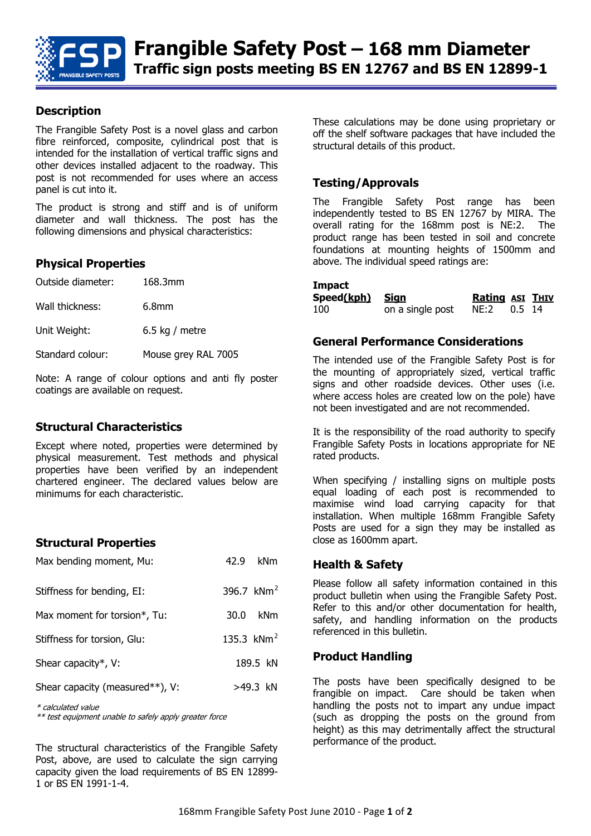

### **Description**

The Frangible Safety Post is a novel glass and carbon fibre reinforced, composite, cylindrical post that is intended for the installation of vertical traffic signs and other devices installed adjacent to the roadway. This post is not recommended for uses where an access panel is cut into it.

The product is strong and stiff and is of uniform diameter and wall thickness. The post has the following dimensions and physical characteristics:

#### **Physical Properties**

| Outside diameter: | 168.3mm             |
|-------------------|---------------------|
| Wall thickness:   | 6.8 <sub>mm</sub>   |
| Unit Weight:      | 6.5 kg / metre      |
| Standard colour:  | Mouse grey RAL 7005 |

Note: A range of colour options and anti fly poster coatings are available on request.

#### **Structural Characteristics**

Except where noted, properties were determined by physical measurement. Test methods and physical properties have been verified by an independent chartered engineer. The declared values below are minimums for each characteristic.

#### **Structural Properties**

| Max bending moment, Mu:         | 42.9 | kNm          |
|---------------------------------|------|--------------|
| Stiffness for bending, EI:      |      | 396.7 $kNm2$ |
| Max moment for torsion*, Tu:    | 30.0 | <b>kNm</b>   |
| Stiffness for torsion, Glu:     |      | 135.3 $kNm2$ |
| Shear capacity*, V:             |      | 189.5 kN     |
| Shear capacity (measured**), V: |      | >49.3 kN     |
|                                 |      |              |

\* calculated value

\*\* test equipment unable to safely apply greater force

The structural characteristics of the Frangible Safety Post, above, are used to calculate the sign carrying capacity given the load requirements of BS EN 12899- 1 or BS EN 1991-1-4.

These calculations may be done using proprietary or off the shelf software packages that have included the structural details of this product.

#### **Testing/Approvals**

The Frangible Safety Post range has been independently tested to BS EN 12767 by MIRA. The overall rating for the 168mm post is NE:2. The product range has been tested in soil and concrete foundations at mounting heights of 1500mm and above. The individual speed ratings are:

#### **Impact**

| ____<br>Speed(kph) Sign |                  | <b>Rating ASI THIV</b> |  |
|-------------------------|------------------|------------------------|--|
| 100                     | on a single post |                        |  |

#### **General Performance Considerations**

The intended use of the Frangible Safety Post is for the mounting of appropriately sized, vertical traffic signs and other roadside devices. Other uses (i.e. where access holes are created low on the pole) have not been investigated and are not recommended.

It is the responsibility of the road authority to specify Frangible Safety Posts in locations appropriate for NE rated products.

When specifying / installing signs on multiple posts equal loading of each post is recommended to maximise wind load carrying capacity for that installation. When multiple 168mm Frangible Safety Posts are used for a sign they may be installed as close as 1600mm apart.

#### **Health & Safety**

Please follow all safety information contained in this product bulletin when using the Frangible Safety Post. Refer to this and/or other documentation for health, safety, and handling information on the products referenced in this bulletin.

#### **Product Handling**

The posts have been specifically designed to be frangible on impact. Care should be taken when handling the posts not to impart any undue impact (such as dropping the posts on the ground from height) as this may detrimentally affect the structural performance of the product.